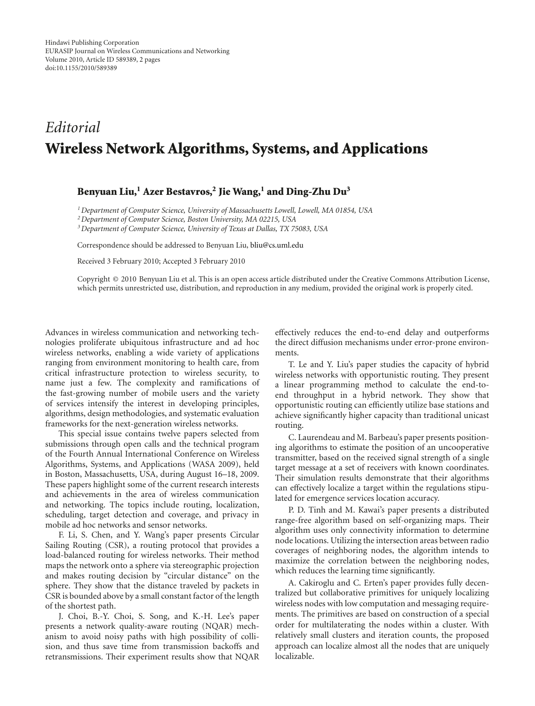## *Editorial* **Wireless Network Algorithms, Systems, and Applications**

## **Benyuan Liu,1 Azer Bestavros,2 Jie Wang,1 and Ding-Zhu Du3**

*1Department of Computer Science, University of Massachusetts Lowell, Lowell, MA 01854, USA*

*2Department of Computer Science, Boston University, MA 02215, USA*

*3Department of Computer Science, University of Texas at Dallas, TX 75083, USA*

Correspondence should be addressed to Benyuan Liu, bliu@cs.uml.edu

Received 3 February 2010; Accepted 3 February 2010

Copyright © 2010 Benyuan Liu et al. This is an open access article distributed under the Creative Commons Attribution License, which permits unrestricted use, distribution, and reproduction in any medium, provided the original work is properly cited.

Advances in wireless communication and networking technologies proliferate ubiquitous infrastructure and ad hoc wireless networks, enabling a wide variety of applications ranging from environment monitoring to health care, from critical infrastructure protection to wireless security, to name just a few. The complexity and ramifications of the fast-growing number of mobile users and the variety of services intensify the interest in developing principles, algorithms, design methodologies, and systematic evaluation frameworks for the next-generation wireless networks.

This special issue contains twelve papers selected from submissions through open calls and the technical program of the Fourth Annual International Conference on Wireless Algorithms, Systems, and Applications (WASA 2009), held in Boston, Massachusetts, USA, during August 16–18, 2009. These papers highlight some of the current research interests and achievements in the area of wireless communication and networking. The topics include routing, localization, scheduling, target detection and coverage, and privacy in mobile ad hoc networks and sensor networks.

F. Li, S. Chen, and Y. Wang's paper presents Circular Sailing Routing (CSR), a routing protocol that provides a load-balanced routing for wireless networks. Their method maps the network onto a sphere via stereographic projection and makes routing decision by "circular distance" on the sphere. They show that the distance traveled by packets in CSR is bounded above by a small constant factor of the length of the shortest path.

J. Choi, B.-Y. Choi, S. Song, and K.-H. Lee's paper presents a network quality-aware routing (NQAR) mechanism to avoid noisy paths with high possibility of collision, and thus save time from transmission backoffs and retransmissions. Their experiment results show that NQAR

effectively reduces the end-to-end delay and outperforms the direct diffusion mechanisms under error-prone environments.

T. Le and Y. Liu's paper studies the capacity of hybrid wireless networks with opportunistic routing. They present a linear programming method to calculate the end-toend throughput in a hybrid network. They show that opportunistic routing can efficiently utilize base stations and achieve significantly higher capacity than traditional unicast routing.

C. Laurendeau and M. Barbeau's paper presents positioning algorithms to estimate the position of an uncooperative transmitter, based on the received signal strength of a single target message at a set of receivers with known coordinates. Their simulation results demonstrate that their algorithms can effectively localize a target within the regulations stipulated for emergence services location accuracy.

P. D. Tinh and M. Kawai's paper presents a distributed range-free algorithm based on self-organizing maps. Their algorithm uses only connectivity information to determine node locations. Utilizing the intersection areas between radio coverages of neighboring nodes, the algorithm intends to maximize the correlation between the neighboring nodes, which reduces the learning time significantly.

A. Cakiroglu and C. Erten's paper provides fully decentralized but collaborative primitives for uniquely localizing wireless nodes with low computation and messaging requirements. The primitives are based on construction of a special order for multilaterating the nodes within a cluster. With relatively small clusters and iteration counts, the proposed approach can localize almost all the nodes that are uniquely localizable.